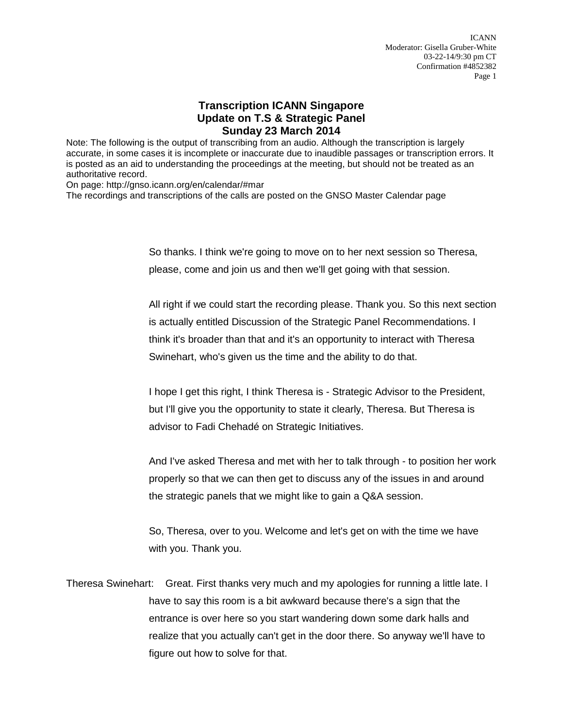## **Transcription ICANN Singapore Update on T.S & Strategic Panel Sunday 23 March 2014**

Note: The following is the output of transcribing from an audio. Although the transcription is largely accurate, in some cases it is incomplete or inaccurate due to inaudible passages or transcription errors. It is posted as an aid to understanding the proceedings at the meeting, but should not be treated as an authoritative record.

On page: http://gnso.icann.org/en/calendar/#mar

The recordings and transcriptions of the calls are posted on the GNSO Master Calendar page

So thanks. I think we're going to move on to her next session so Theresa, please, come and join us and then we'll get going with that session.

All right if we could start the recording please. Thank you. So this next section is actually entitled Discussion of the Strategic Panel Recommendations. I think it's broader than that and it's an opportunity to interact with Theresa Swinehart, who's given us the time and the ability to do that.

I hope I get this right, I think Theresa is - Strategic Advisor to the President, but I'll give you the opportunity to state it clearly, Theresa. But Theresa is advisor to Fadi Chehadé on Strategic Initiatives.

And I've asked Theresa and met with her to talk through - to position her work properly so that we can then get to discuss any of the issues in and around the strategic panels that we might like to gain a Q&A session.

So, Theresa, over to you. Welcome and let's get on with the time we have with you. Thank you.

Theresa Swinehart: Great. First thanks very much and my apologies for running a little late. I have to say this room is a bit awkward because there's a sign that the entrance is over here so you start wandering down some dark halls and realize that you actually can't get in the door there. So anyway we'll have to figure out how to solve for that.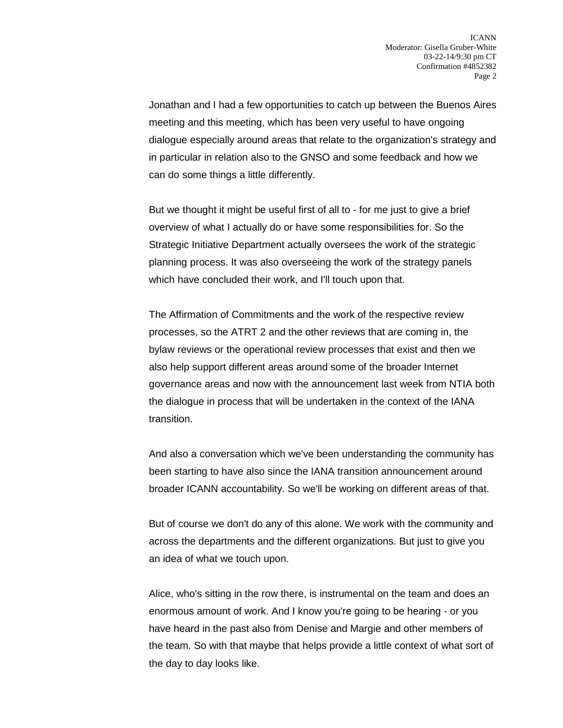Jonathan and I had a few opportunities to catch up between the Buenos Aires meeting and this meeting, which has been very useful to have ongoing dialogue especially around areas that relate to the organization's strategy and in particular in relation also to the GNSO and some feedback and how we can do some things a little differently.

But we thought it might be useful first of all to - for me just to give a brief overview of what I actually do or have some responsibilities for. So the Strategic Initiative Department actually oversees the work of the strategic planning process. It was also overseeing the work of the strategy panels which have concluded their work, and I'll touch upon that.

The Affirmation of Commitments and the work of the respective review processes, so the ATRT 2 and the other reviews that are coming in, the bylaw reviews or the operational review processes that exist and then we also help support different areas around some of the broader Internet governance areas and now with the announcement last week from NTIA both the dialogue in process that will be undertaken in the context of the IANA transition.

And also a conversation which we've been understanding the community has been starting to have also since the IANA transition announcement around broader ICANN accountability. So we'll be working on different areas of that.

But of course we don't do any of this alone. We work with the community and across the departments and the different organizations. But just to give you an idea of what we touch upon.

Alice, who's sitting in the row there, is instrumental on the team and does an enormous amount of work. And I know you're going to be hearing - or you have heard in the past also from Denise and Margie and other members of the team. So with that maybe that helps provide a little context of what sort of the day to day looks like.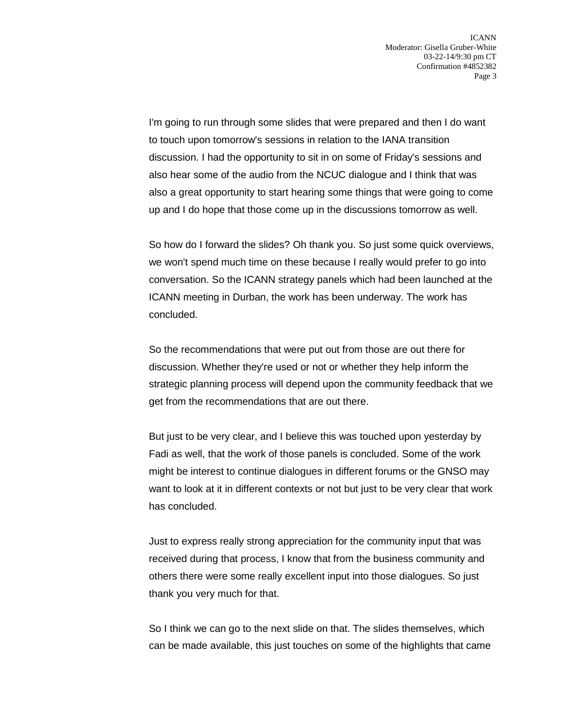I'm going to run through some slides that were prepared and then I do want to touch upon tomorrow's sessions in relation to the IANA transition discussion. I had the opportunity to sit in on some of Friday's sessions and also hear some of the audio from the NCUC dialogue and I think that was also a great opportunity to start hearing some things that were going to come up and I do hope that those come up in the discussions tomorrow as well.

So how do I forward the slides? Oh thank you. So just some quick overviews, we won't spend much time on these because I really would prefer to go into conversation. So the ICANN strategy panels which had been launched at the ICANN meeting in Durban, the work has been underway. The work has concluded.

So the recommendations that were put out from those are out there for discussion. Whether they're used or not or whether they help inform the strategic planning process will depend upon the community feedback that we get from the recommendations that are out there.

But just to be very clear, and I believe this was touched upon yesterday by Fadi as well, that the work of those panels is concluded. Some of the work might be interest to continue dialogues in different forums or the GNSO may want to look at it in different contexts or not but just to be very clear that work has concluded.

Just to express really strong appreciation for the community input that was received during that process, I know that from the business community and others there were some really excellent input into those dialogues. So just thank you very much for that.

So I think we can go to the next slide on that. The slides themselves, which can be made available, this just touches on some of the highlights that came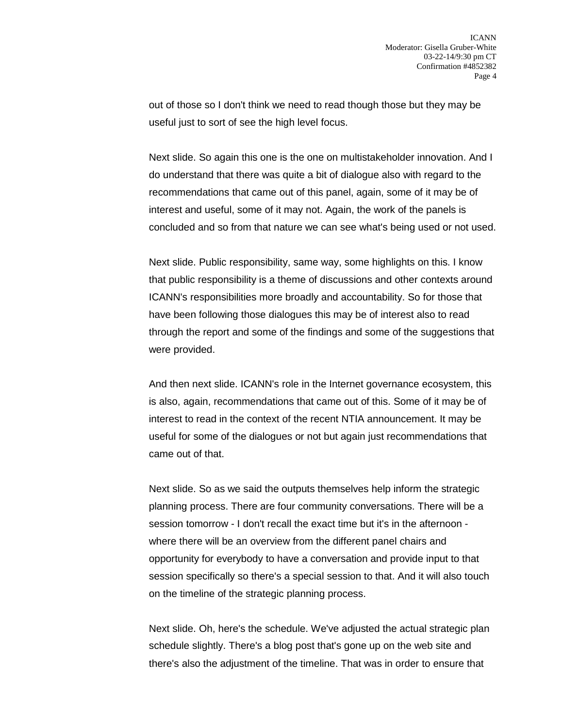out of those so I don't think we need to read though those but they may be useful just to sort of see the high level focus.

Next slide. So again this one is the one on multistakeholder innovation. And I do understand that there was quite a bit of dialogue also with regard to the recommendations that came out of this panel, again, some of it may be of interest and useful, some of it may not. Again, the work of the panels is concluded and so from that nature we can see what's being used or not used.

Next slide. Public responsibility, same way, some highlights on this. I know that public responsibility is a theme of discussions and other contexts around ICANN's responsibilities more broadly and accountability. So for those that have been following those dialogues this may be of interest also to read through the report and some of the findings and some of the suggestions that were provided.

And then next slide. ICANN's role in the Internet governance ecosystem, this is also, again, recommendations that came out of this. Some of it may be of interest to read in the context of the recent NTIA announcement. It may be useful for some of the dialogues or not but again just recommendations that came out of that.

Next slide. So as we said the outputs themselves help inform the strategic planning process. There are four community conversations. There will be a session tomorrow - I don't recall the exact time but it's in the afternoon where there will be an overview from the different panel chairs and opportunity for everybody to have a conversation and provide input to that session specifically so there's a special session to that. And it will also touch on the timeline of the strategic planning process.

Next slide. Oh, here's the schedule. We've adjusted the actual strategic plan schedule slightly. There's a blog post that's gone up on the web site and there's also the adjustment of the timeline. That was in order to ensure that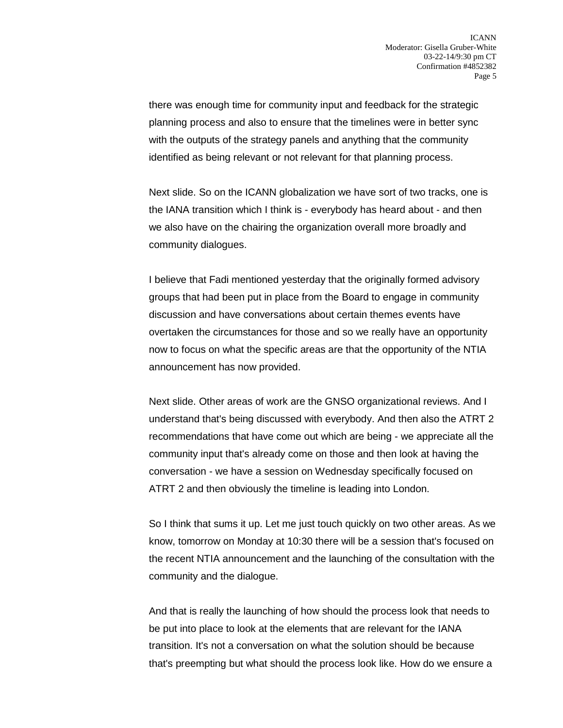there was enough time for community input and feedback for the strategic planning process and also to ensure that the timelines were in better sync with the outputs of the strategy panels and anything that the community identified as being relevant or not relevant for that planning process.

Next slide. So on the ICANN globalization we have sort of two tracks, one is the IANA transition which I think is - everybody has heard about - and then we also have on the chairing the organization overall more broadly and community dialogues.

I believe that Fadi mentioned yesterday that the originally formed advisory groups that had been put in place from the Board to engage in community discussion and have conversations about certain themes events have overtaken the circumstances for those and so we really have an opportunity now to focus on what the specific areas are that the opportunity of the NTIA announcement has now provided.

Next slide. Other areas of work are the GNSO organizational reviews. And I understand that's being discussed with everybody. And then also the ATRT 2 recommendations that have come out which are being - we appreciate all the community input that's already come on those and then look at having the conversation - we have a session on Wednesday specifically focused on ATRT 2 and then obviously the timeline is leading into London.

So I think that sums it up. Let me just touch quickly on two other areas. As we know, tomorrow on Monday at 10:30 there will be a session that's focused on the recent NTIA announcement and the launching of the consultation with the community and the dialogue.

And that is really the launching of how should the process look that needs to be put into place to look at the elements that are relevant for the IANA transition. It's not a conversation on what the solution should be because that's preempting but what should the process look like. How do we ensure a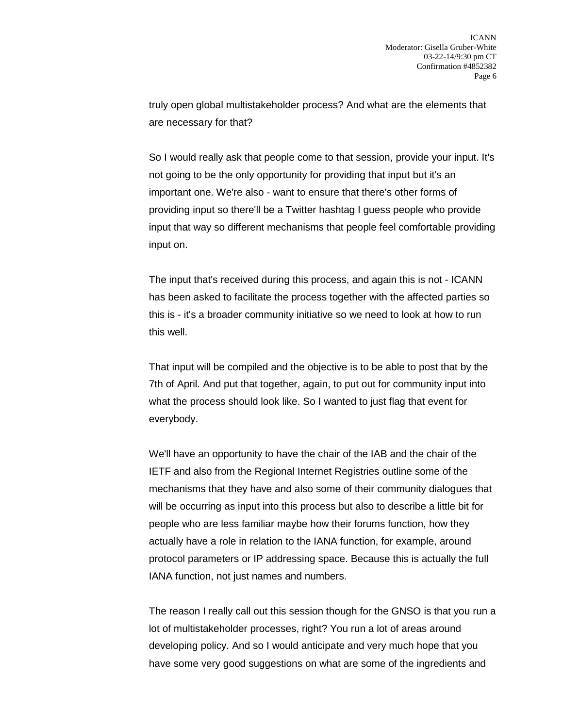truly open global multistakeholder process? And what are the elements that are necessary for that?

So I would really ask that people come to that session, provide your input. It's not going to be the only opportunity for providing that input but it's an important one. We're also - want to ensure that there's other forms of providing input so there'll be a Twitter hashtag I guess people who provide input that way so different mechanisms that people feel comfortable providing input on.

The input that's received during this process, and again this is not - ICANN has been asked to facilitate the process together with the affected parties so this is - it's a broader community initiative so we need to look at how to run this well.

That input will be compiled and the objective is to be able to post that by the 7th of April. And put that together, again, to put out for community input into what the process should look like. So I wanted to just flag that event for everybody.

We'll have an opportunity to have the chair of the IAB and the chair of the IETF and also from the Regional Internet Registries outline some of the mechanisms that they have and also some of their community dialogues that will be occurring as input into this process but also to describe a little bit for people who are less familiar maybe how their forums function, how they actually have a role in relation to the IANA function, for example, around protocol parameters or IP addressing space. Because this is actually the full IANA function, not just names and numbers.

The reason I really call out this session though for the GNSO is that you run a lot of multistakeholder processes, right? You run a lot of areas around developing policy. And so I would anticipate and very much hope that you have some very good suggestions on what are some of the ingredients and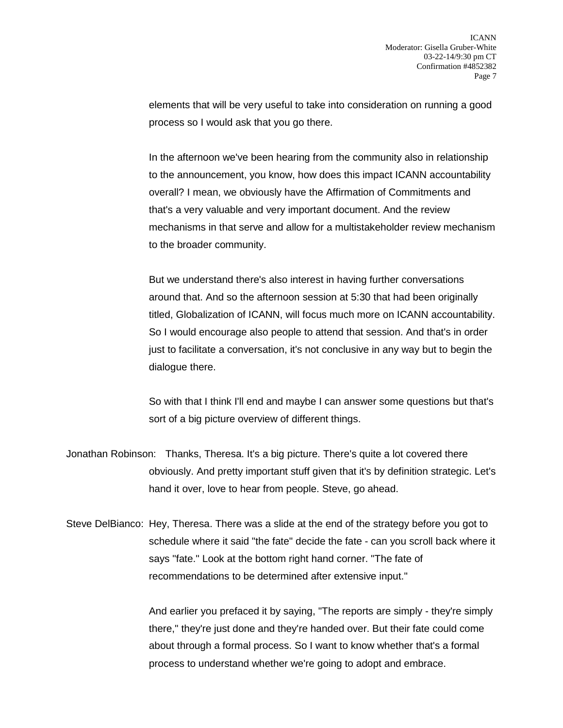elements that will be very useful to take into consideration on running a good process so I would ask that you go there.

In the afternoon we've been hearing from the community also in relationship to the announcement, you know, how does this impact ICANN accountability overall? I mean, we obviously have the Affirmation of Commitments and that's a very valuable and very important document. And the review mechanisms in that serve and allow for a multistakeholder review mechanism to the broader community.

But we understand there's also interest in having further conversations around that. And so the afternoon session at 5:30 that had been originally titled, Globalization of ICANN, will focus much more on ICANN accountability. So I would encourage also people to attend that session. And that's in order just to facilitate a conversation, it's not conclusive in any way but to begin the dialogue there.

So with that I think I'll end and maybe I can answer some questions but that's sort of a big picture overview of different things.

Jonathan Robinson: Thanks, Theresa. It's a big picture. There's quite a lot covered there obviously. And pretty important stuff given that it's by definition strategic. Let's hand it over, love to hear from people. Steve, go ahead.

Steve DelBianco: Hey, Theresa. There was a slide at the end of the strategy before you got to schedule where it said "the fate" decide the fate - can you scroll back where it says "fate." Look at the bottom right hand corner. "The fate of recommendations to be determined after extensive input."

> And earlier you prefaced it by saying, "The reports are simply - they're simply there," they're just done and they're handed over. But their fate could come about through a formal process. So I want to know whether that's a formal process to understand whether we're going to adopt and embrace.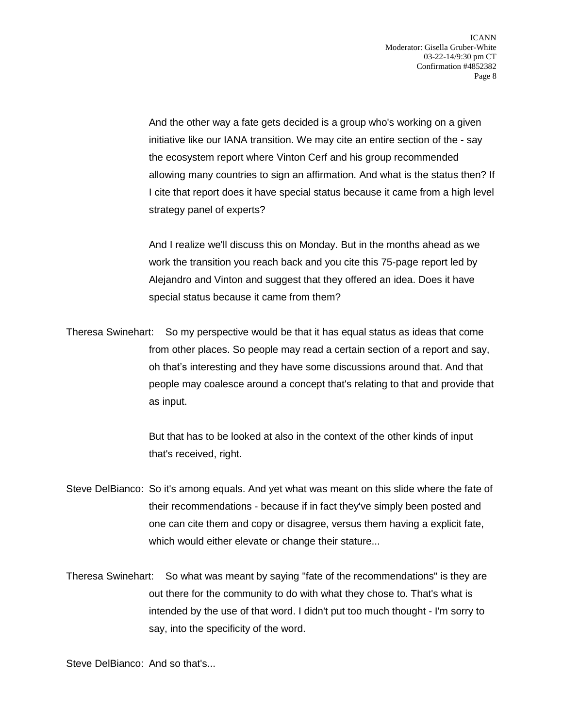And the other way a fate gets decided is a group who's working on a given initiative like our IANA transition. We may cite an entire section of the - say the ecosystem report where Vinton Cerf and his group recommended allowing many countries to sign an affirmation. And what is the status then? If I cite that report does it have special status because it came from a high level strategy panel of experts?

And I realize we'll discuss this on Monday. But in the months ahead as we work the transition you reach back and you cite this 75-page report led by Alejandro and Vinton and suggest that they offered an idea. Does it have special status because it came from them?

Theresa Swinehart: So my perspective would be that it has equal status as ideas that come from other places. So people may read a certain section of a report and say, oh that's interesting and they have some discussions around that. And that people may coalesce around a concept that's relating to that and provide that as input.

> But that has to be looked at also in the context of the other kinds of input that's received, right.

- Steve DelBianco: So it's among equals. And yet what was meant on this slide where the fate of their recommendations - because if in fact they've simply been posted and one can cite them and copy or disagree, versus them having a explicit fate, which would either elevate or change their stature...
- Theresa Swinehart: So what was meant by saying "fate of the recommendations" is they are out there for the community to do with what they chose to. That's what is intended by the use of that word. I didn't put too much thought - I'm sorry to say, into the specificity of the word.

Steve DelBianco: And so that's...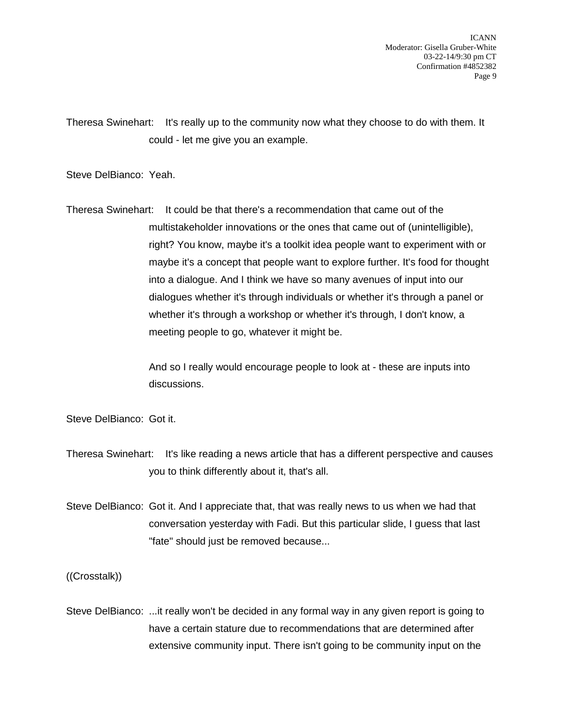Theresa Swinehart: It's really up to the community now what they choose to do with them. It could - let me give you an example.

Steve DelBianco: Yeah.

Theresa Swinehart: It could be that there's a recommendation that came out of the multistakeholder innovations or the ones that came out of (unintelligible), right? You know, maybe it's a toolkit idea people want to experiment with or maybe it's a concept that people want to explore further. It's food for thought into a dialogue. And I think we have so many avenues of input into our dialogues whether it's through individuals or whether it's through a panel or whether it's through a workshop or whether it's through, I don't know, a meeting people to go, whatever it might be.

> And so I really would encourage people to look at - these are inputs into discussions.

Steve DelBianco: Got it.

Theresa Swinehart: It's like reading a news article that has a different perspective and causes you to think differently about it, that's all.

Steve DelBianco: Got it. And I appreciate that, that was really news to us when we had that conversation yesterday with Fadi. But this particular slide, I guess that last "fate" should just be removed because...

((Crosstalk))

Steve DelBianco: ...it really won't be decided in any formal way in any given report is going to have a certain stature due to recommendations that are determined after extensive community input. There isn't going to be community input on the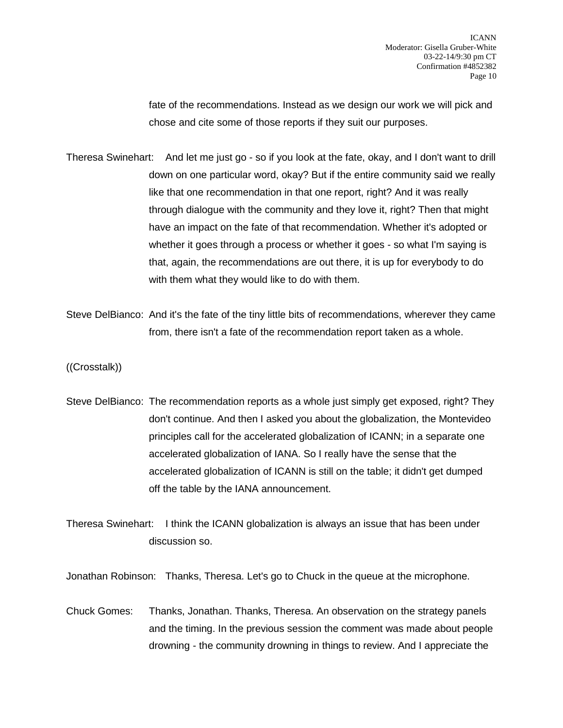fate of the recommendations. Instead as we design our work we will pick and chose and cite some of those reports if they suit our purposes.

- Theresa Swinehart: And let me just go so if you look at the fate, okay, and I don't want to drill down on one particular word, okay? But if the entire community said we really like that one recommendation in that one report, right? And it was really through dialogue with the community and they love it, right? Then that might have an impact on the fate of that recommendation. Whether it's adopted or whether it goes through a process or whether it goes - so what I'm saying is that, again, the recommendations are out there, it is up for everybody to do with them what they would like to do with them.
- Steve DelBianco: And it's the fate of the tiny little bits of recommendations, wherever they came from, there isn't a fate of the recommendation report taken as a whole.

((Crosstalk))

Steve DelBianco: The recommendation reports as a whole just simply get exposed, right? They don't continue. And then I asked you about the globalization, the Montevideo principles call for the accelerated globalization of ICANN; in a separate one accelerated globalization of IANA. So I really have the sense that the accelerated globalization of ICANN is still on the table; it didn't get dumped off the table by the IANA announcement.

Theresa Swinehart: I think the ICANN globalization is always an issue that has been under discussion so.

Jonathan Robinson: Thanks, Theresa. Let's go to Chuck in the queue at the microphone.

Chuck Gomes: Thanks, Jonathan. Thanks, Theresa. An observation on the strategy panels and the timing. In the previous session the comment was made about people drowning - the community drowning in things to review. And I appreciate the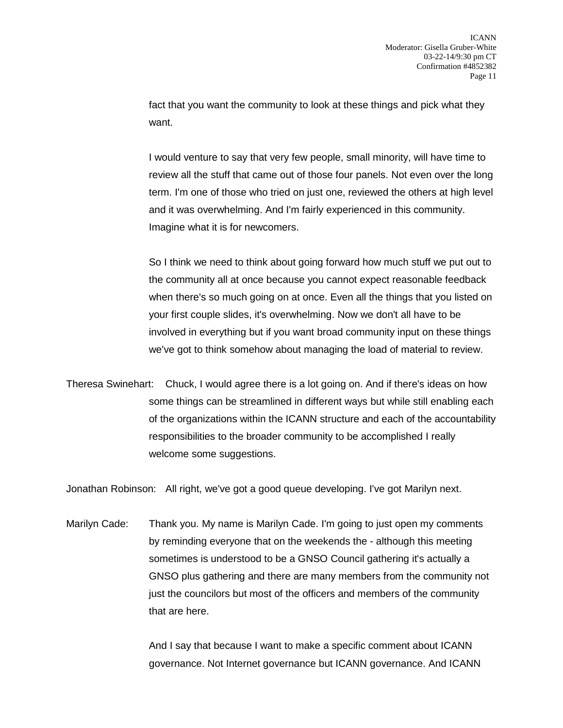fact that you want the community to look at these things and pick what they want.

I would venture to say that very few people, small minority, will have time to review all the stuff that came out of those four panels. Not even over the long term. I'm one of those who tried on just one, reviewed the others at high level and it was overwhelming. And I'm fairly experienced in this community. Imagine what it is for newcomers.

So I think we need to think about going forward how much stuff we put out to the community all at once because you cannot expect reasonable feedback when there's so much going on at once. Even all the things that you listed on your first couple slides, it's overwhelming. Now we don't all have to be involved in everything but if you want broad community input on these things we've got to think somehow about managing the load of material to review.

Theresa Swinehart: Chuck, I would agree there is a lot going on. And if there's ideas on how some things can be streamlined in different ways but while still enabling each of the organizations within the ICANN structure and each of the accountability responsibilities to the broader community to be accomplished I really welcome some suggestions.

Jonathan Robinson: All right, we've got a good queue developing. I've got Marilyn next.

Marilyn Cade: Thank you. My name is Marilyn Cade. I'm going to just open my comments by reminding everyone that on the weekends the - although this meeting sometimes is understood to be a GNSO Council gathering it's actually a GNSO plus gathering and there are many members from the community not just the councilors but most of the officers and members of the community that are here.

> And I say that because I want to make a specific comment about ICANN governance. Not Internet governance but ICANN governance. And ICANN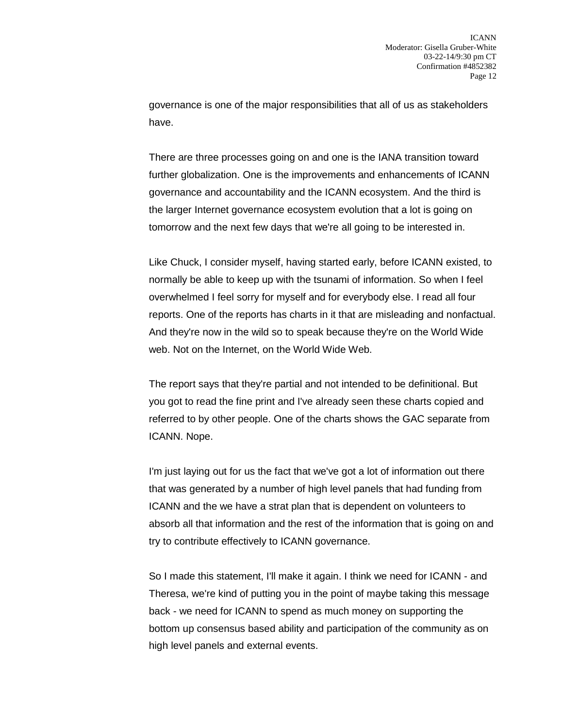governance is one of the major responsibilities that all of us as stakeholders have.

There are three processes going on and one is the IANA transition toward further globalization. One is the improvements and enhancements of ICANN governance and accountability and the ICANN ecosystem. And the third is the larger Internet governance ecosystem evolution that a lot is going on tomorrow and the next few days that we're all going to be interested in.

Like Chuck, I consider myself, having started early, before ICANN existed, to normally be able to keep up with the tsunami of information. So when I feel overwhelmed I feel sorry for myself and for everybody else. I read all four reports. One of the reports has charts in it that are misleading and nonfactual. And they're now in the wild so to speak because they're on the World Wide web. Not on the Internet, on the World Wide Web.

The report says that they're partial and not intended to be definitional. But you got to read the fine print and I've already seen these charts copied and referred to by other people. One of the charts shows the GAC separate from ICANN. Nope.

I'm just laying out for us the fact that we've got a lot of information out there that was generated by a number of high level panels that had funding from ICANN and the we have a strat plan that is dependent on volunteers to absorb all that information and the rest of the information that is going on and try to contribute effectively to ICANN governance.

So I made this statement, I'll make it again. I think we need for ICANN - and Theresa, we're kind of putting you in the point of maybe taking this message back - we need for ICANN to spend as much money on supporting the bottom up consensus based ability and participation of the community as on high level panels and external events.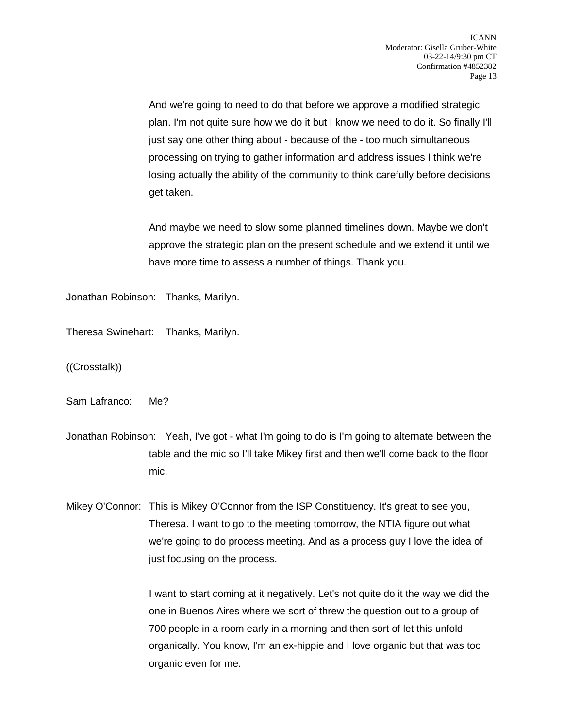And we're going to need to do that before we approve a modified strategic plan. I'm not quite sure how we do it but I know we need to do it. So finally I'll just say one other thing about - because of the - too much simultaneous processing on trying to gather information and address issues I think we're losing actually the ability of the community to think carefully before decisions get taken.

And maybe we need to slow some planned timelines down. Maybe we don't approve the strategic plan on the present schedule and we extend it until we have more time to assess a number of things. Thank you.

Jonathan Robinson: Thanks, Marilyn.

Theresa Swinehart: Thanks, Marilyn.

((Crosstalk))

Sam Lafranco: Me?

Jonathan Robinson: Yeah, I've got - what I'm going to do is I'm going to alternate between the table and the mic so I'll take Mikey first and then we'll come back to the floor mic.

Mikey O'Connor: This is Mikey O'Connor from the ISP Constituency. It's great to see you, Theresa. I want to go to the meeting tomorrow, the NTIA figure out what we're going to do process meeting. And as a process guy I love the idea of just focusing on the process.

> I want to start coming at it negatively. Let's not quite do it the way we did the one in Buenos Aires where we sort of threw the question out to a group of 700 people in a room early in a morning and then sort of let this unfold organically. You know, I'm an ex-hippie and I love organic but that was too organic even for me.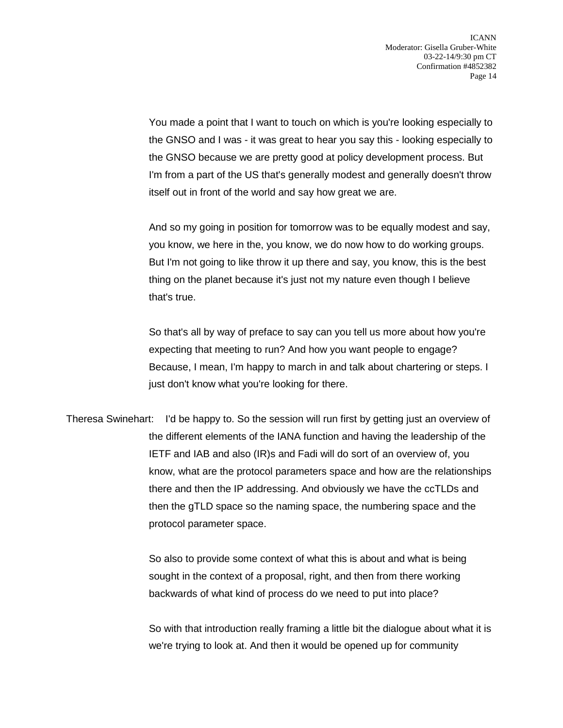You made a point that I want to touch on which is you're looking especially to the GNSO and I was - it was great to hear you say this - looking especially to the GNSO because we are pretty good at policy development process. But I'm from a part of the US that's generally modest and generally doesn't throw itself out in front of the world and say how great we are.

And so my going in position for tomorrow was to be equally modest and say, you know, we here in the, you know, we do now how to do working groups. But I'm not going to like throw it up there and say, you know, this is the best thing on the planet because it's just not my nature even though I believe that's true.

So that's all by way of preface to say can you tell us more about how you're expecting that meeting to run? And how you want people to engage? Because, I mean, I'm happy to march in and talk about chartering or steps. I just don't know what you're looking for there.

Theresa Swinehart: I'd be happy to. So the session will run first by getting just an overview of the different elements of the IANA function and having the leadership of the IETF and IAB and also (IR)s and Fadi will do sort of an overview of, you know, what are the protocol parameters space and how are the relationships there and then the IP addressing. And obviously we have the ccTLDs and then the gTLD space so the naming space, the numbering space and the protocol parameter space.

> So also to provide some context of what this is about and what is being sought in the context of a proposal, right, and then from there working backwards of what kind of process do we need to put into place?

So with that introduction really framing a little bit the dialogue about what it is we're trying to look at. And then it would be opened up for community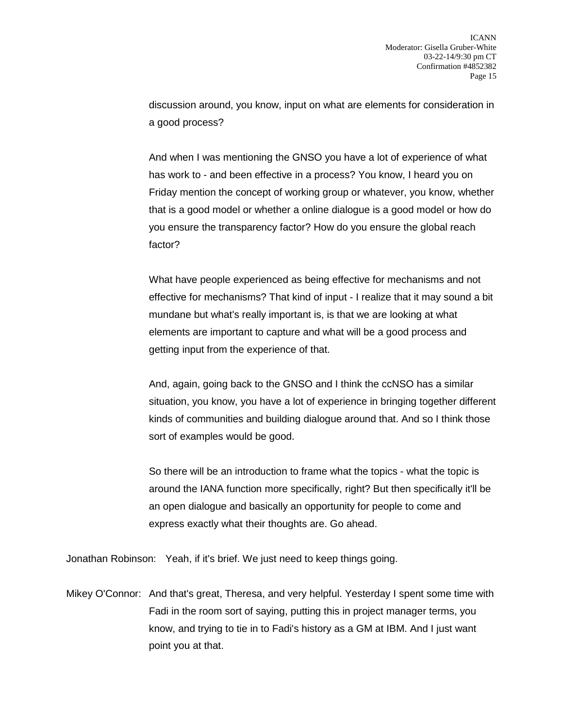discussion around, you know, input on what are elements for consideration in a good process?

And when I was mentioning the GNSO you have a lot of experience of what has work to - and been effective in a process? You know, I heard you on Friday mention the concept of working group or whatever, you know, whether that is a good model or whether a online dialogue is a good model or how do you ensure the transparency factor? How do you ensure the global reach factor?

What have people experienced as being effective for mechanisms and not effective for mechanisms? That kind of input - I realize that it may sound a bit mundane but what's really important is, is that we are looking at what elements are important to capture and what will be a good process and getting input from the experience of that.

And, again, going back to the GNSO and I think the ccNSO has a similar situation, you know, you have a lot of experience in bringing together different kinds of communities and building dialogue around that. And so I think those sort of examples would be good.

So there will be an introduction to frame what the topics - what the topic is around the IANA function more specifically, right? But then specifically it'll be an open dialogue and basically an opportunity for people to come and express exactly what their thoughts are. Go ahead.

Jonathan Robinson: Yeah, if it's brief. We just need to keep things going.

Mikey O'Connor: And that's great, Theresa, and very helpful. Yesterday I spent some time with Fadi in the room sort of saying, putting this in project manager terms, you know, and trying to tie in to Fadi's history as a GM at IBM. And I just want point you at that.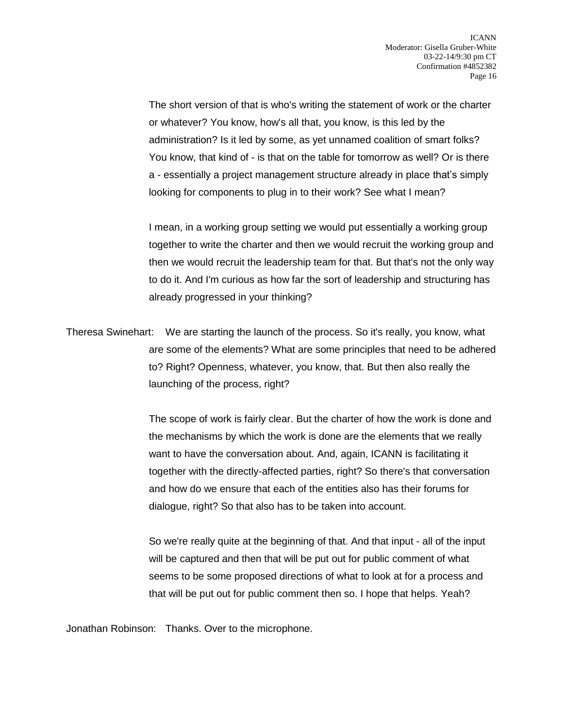The short version of that is who's writing the statement of work or the charter or whatever? You know, how's all that, you know, is this led by the administration? Is it led by some, as yet unnamed coalition of smart folks? You know, that kind of - is that on the table for tomorrow as well? Or is there a - essentially a project management structure already in place that's simply looking for components to plug in to their work? See what I mean?

I mean, in a working group setting we would put essentially a working group together to write the charter and then we would recruit the working group and then we would recruit the leadership team for that. But that's not the only way to do it. And I'm curious as how far the sort of leadership and structuring has already progressed in your thinking?

Theresa Swinehart: We are starting the launch of the process. So it's really, you know, what are some of the elements? What are some principles that need to be adhered to? Right? Openness, whatever, you know, that. But then also really the launching of the process, right?

> The scope of work is fairly clear. But the charter of how the work is done and the mechanisms by which the work is done are the elements that we really want to have the conversation about. And, again, ICANN is facilitating it together with the directly-affected parties, right? So there's that conversation and how do we ensure that each of the entities also has their forums for dialogue, right? So that also has to be taken into account.

So we're really quite at the beginning of that. And that input - all of the input will be captured and then that will be put out for public comment of what seems to be some proposed directions of what to look at for a process and that will be put out for public comment then so. I hope that helps. Yeah?

Jonathan Robinson: Thanks. Over to the microphone.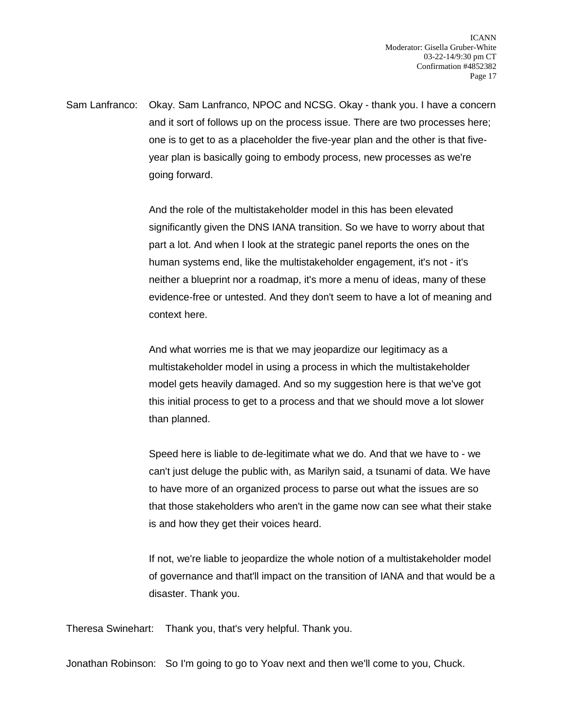Sam Lanfranco: Okay. Sam Lanfranco, NPOC and NCSG. Okay - thank you. I have a concern and it sort of follows up on the process issue. There are two processes here; one is to get to as a placeholder the five-year plan and the other is that fiveyear plan is basically going to embody process, new processes as we're going forward.

> And the role of the multistakeholder model in this has been elevated significantly given the DNS IANA transition. So we have to worry about that part a lot. And when I look at the strategic panel reports the ones on the human systems end, like the multistakeholder engagement, it's not - it's neither a blueprint nor a roadmap, it's more a menu of ideas, many of these evidence-free or untested. And they don't seem to have a lot of meaning and context here.

And what worries me is that we may jeopardize our legitimacy as a multistakeholder model in using a process in which the multistakeholder model gets heavily damaged. And so my suggestion here is that we've got this initial process to get to a process and that we should move a lot slower than planned.

Speed here is liable to de-legitimate what we do. And that we have to - we can't just deluge the public with, as Marilyn said, a tsunami of data. We have to have more of an organized process to parse out what the issues are so that those stakeholders who aren't in the game now can see what their stake is and how they get their voices heard.

If not, we're liable to jeopardize the whole notion of a multistakeholder model of governance and that'll impact on the transition of IANA and that would be a disaster. Thank you.

Theresa Swinehart: Thank you, that's very helpful. Thank you.

Jonathan Robinson: So I'm going to go to Yoav next and then we'll come to you, Chuck.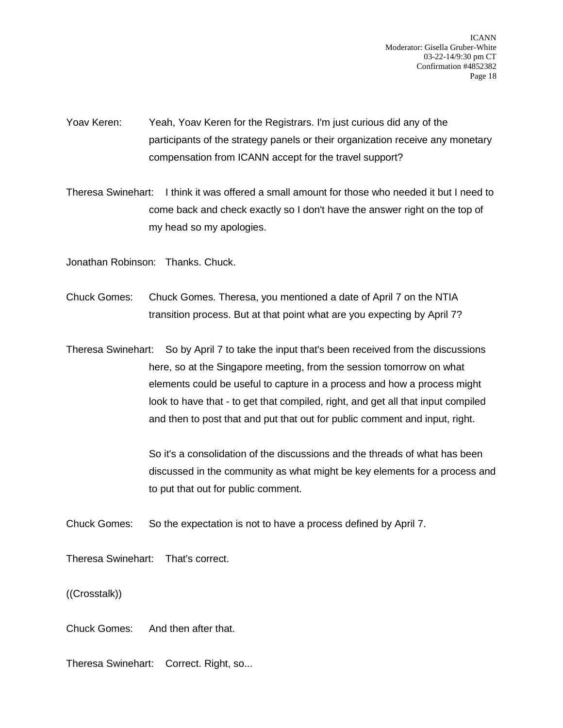Yoav Keren: Yeah, Yoav Keren for the Registrars. I'm just curious did any of the participants of the strategy panels or their organization receive any monetary compensation from ICANN accept for the travel support?

Theresa Swinehart: I think it was offered a small amount for those who needed it but I need to come back and check exactly so I don't have the answer right on the top of my head so my apologies.

Jonathan Robinson: Thanks. Chuck.

Chuck Gomes: Chuck Gomes. Theresa, you mentioned a date of April 7 on the NTIA transition process. But at that point what are you expecting by April 7?

Theresa Swinehart: So by April 7 to take the input that's been received from the discussions here, so at the Singapore meeting, from the session tomorrow on what elements could be useful to capture in a process and how a process might look to have that - to get that compiled, right, and get all that input compiled and then to post that and put that out for public comment and input, right.

> So it's a consolidation of the discussions and the threads of what has been discussed in the community as what might be key elements for a process and to put that out for public comment.

Chuck Gomes: So the expectation is not to have a process defined by April 7.

Theresa Swinehart: That's correct.

((Crosstalk))

Chuck Gomes: And then after that.

Theresa Swinehart: Correct. Right, so...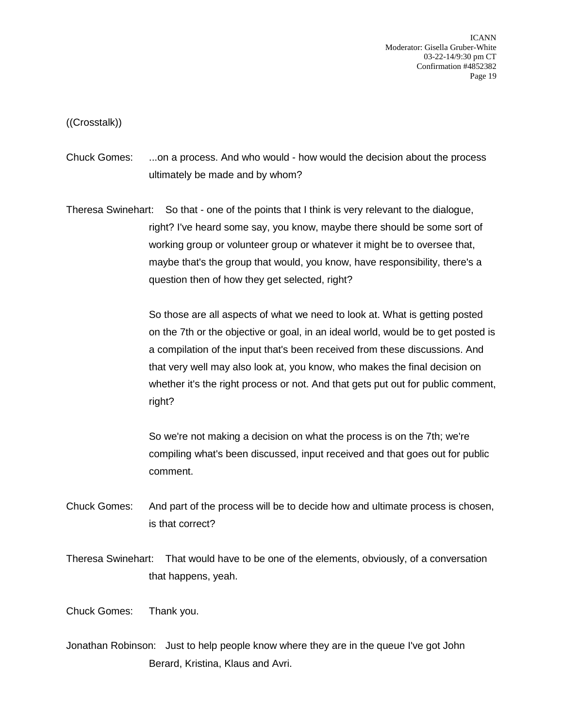((Crosstalk))

Chuck Gomes: ...on a process. And who would - how would the decision about the process ultimately be made and by whom?

Theresa Swinehart: So that - one of the points that I think is very relevant to the dialogue, right? I've heard some say, you know, maybe there should be some sort of working group or volunteer group or whatever it might be to oversee that, maybe that's the group that would, you know, have responsibility, there's a question then of how they get selected, right?

> So those are all aspects of what we need to look at. What is getting posted on the 7th or the objective or goal, in an ideal world, would be to get posted is a compilation of the input that's been received from these discussions. And that very well may also look at, you know, who makes the final decision on whether it's the right process or not. And that gets put out for public comment, right?

So we're not making a decision on what the process is on the 7th; we're compiling what's been discussed, input received and that goes out for public comment.

Chuck Gomes: And part of the process will be to decide how and ultimate process is chosen, is that correct?

Theresa Swinehart: That would have to be one of the elements, obviously, of a conversation that happens, yeah.

Chuck Gomes: Thank you.

Jonathan Robinson: Just to help people know where they are in the queue I've got John Berard, Kristina, Klaus and Avri.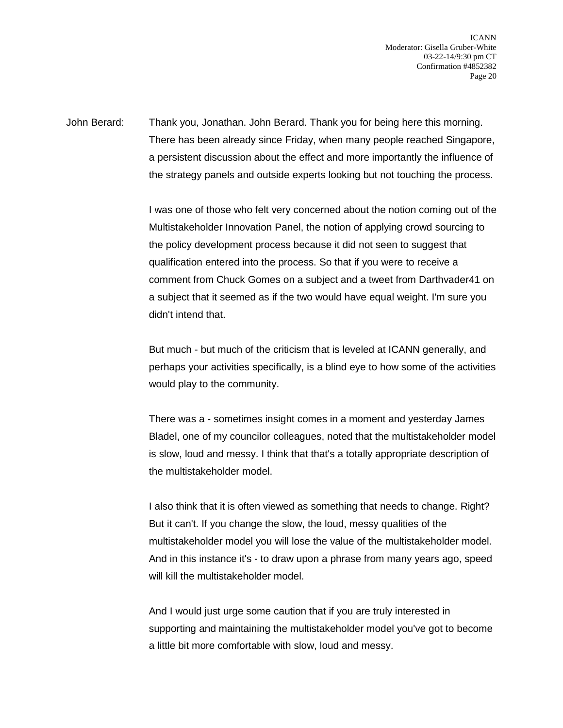John Berard: Thank you, Jonathan. John Berard. Thank you for being here this morning. There has been already since Friday, when many people reached Singapore, a persistent discussion about the effect and more importantly the influence of the strategy panels and outside experts looking but not touching the process.

> I was one of those who felt very concerned about the notion coming out of the Multistakeholder Innovation Panel, the notion of applying crowd sourcing to the policy development process because it did not seen to suggest that qualification entered into the process. So that if you were to receive a comment from Chuck Gomes on a subject and a tweet from Darthvader41 on a subject that it seemed as if the two would have equal weight. I'm sure you didn't intend that.

> But much - but much of the criticism that is leveled at ICANN generally, and perhaps your activities specifically, is a blind eye to how some of the activities would play to the community.

> There was a - sometimes insight comes in a moment and yesterday James Bladel, one of my councilor colleagues, noted that the multistakeholder model is slow, loud and messy. I think that that's a totally appropriate description of the multistakeholder model.

> I also think that it is often viewed as something that needs to change. Right? But it can't. If you change the slow, the loud, messy qualities of the multistakeholder model you will lose the value of the multistakeholder model. And in this instance it's - to draw upon a phrase from many years ago, speed will kill the multistakeholder model.

> And I would just urge some caution that if you are truly interested in supporting and maintaining the multistakeholder model you've got to become a little bit more comfortable with slow, loud and messy.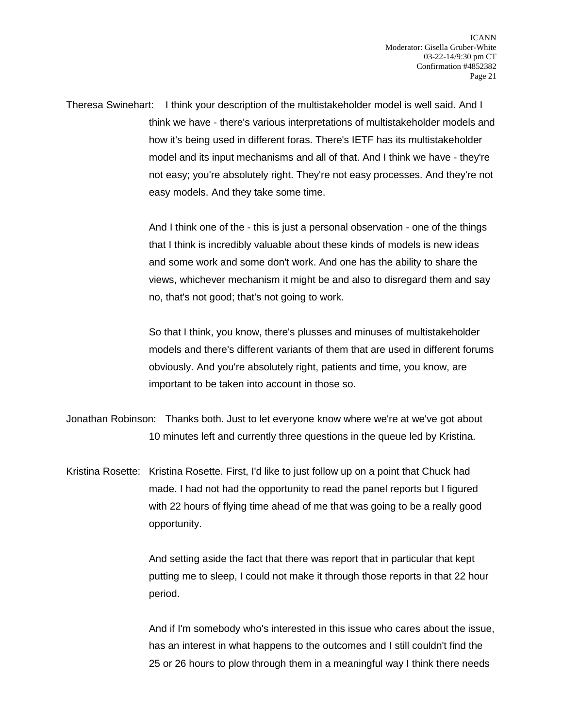Theresa Swinehart: I think your description of the multistakeholder model is well said. And I think we have - there's various interpretations of multistakeholder models and how it's being used in different foras. There's IETF has its multistakeholder model and its input mechanisms and all of that. And I think we have - they're not easy; you're absolutely right. They're not easy processes. And they're not easy models. And they take some time.

> And I think one of the - this is just a personal observation - one of the things that I think is incredibly valuable about these kinds of models is new ideas and some work and some don't work. And one has the ability to share the views, whichever mechanism it might be and also to disregard them and say no, that's not good; that's not going to work.

> So that I think, you know, there's plusses and minuses of multistakeholder models and there's different variants of them that are used in different forums obviously. And you're absolutely right, patients and time, you know, are important to be taken into account in those so.

Jonathan Robinson: Thanks both. Just to let everyone know where we're at we've got about 10 minutes left and currently three questions in the queue led by Kristina.

Kristina Rosette: Kristina Rosette. First, I'd like to just follow up on a point that Chuck had made. I had not had the opportunity to read the panel reports but I figured with 22 hours of flying time ahead of me that was going to be a really good opportunity.

> And setting aside the fact that there was report that in particular that kept putting me to sleep, I could not make it through those reports in that 22 hour period.

And if I'm somebody who's interested in this issue who cares about the issue, has an interest in what happens to the outcomes and I still couldn't find the 25 or 26 hours to plow through them in a meaningful way I think there needs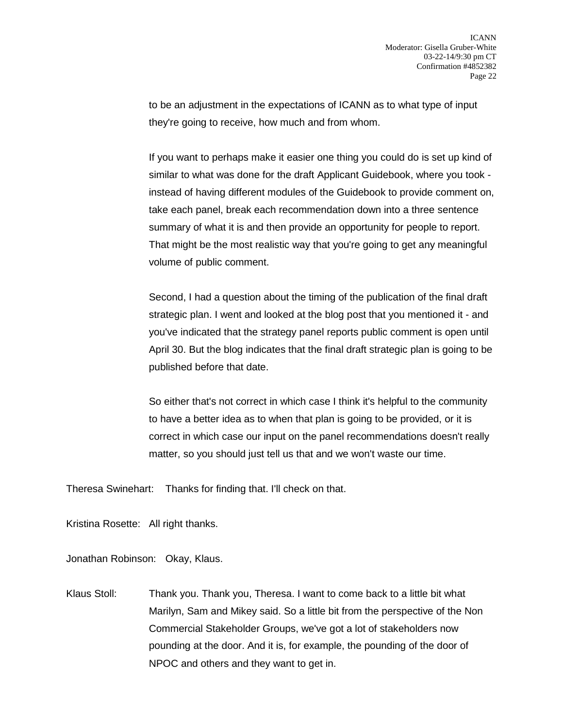to be an adjustment in the expectations of ICANN as to what type of input they're going to receive, how much and from whom.

If you want to perhaps make it easier one thing you could do is set up kind of similar to what was done for the draft Applicant Guidebook, where you took instead of having different modules of the Guidebook to provide comment on, take each panel, break each recommendation down into a three sentence summary of what it is and then provide an opportunity for people to report. That might be the most realistic way that you're going to get any meaningful volume of public comment.

Second, I had a question about the timing of the publication of the final draft strategic plan. I went and looked at the blog post that you mentioned it - and you've indicated that the strategy panel reports public comment is open until April 30. But the blog indicates that the final draft strategic plan is going to be published before that date.

So either that's not correct in which case I think it's helpful to the community to have a better idea as to when that plan is going to be provided, or it is correct in which case our input on the panel recommendations doesn't really matter, so you should just tell us that and we won't waste our time.

Theresa Swinehart: Thanks for finding that. I'll check on that.

Kristina Rosette: All right thanks.

Jonathan Robinson: Okay, Klaus.

Klaus Stoll: Thank you. Thank you, Theresa. I want to come back to a little bit what Marilyn, Sam and Mikey said. So a little bit from the perspective of the Non Commercial Stakeholder Groups, we've got a lot of stakeholders now pounding at the door. And it is, for example, the pounding of the door of NPOC and others and they want to get in.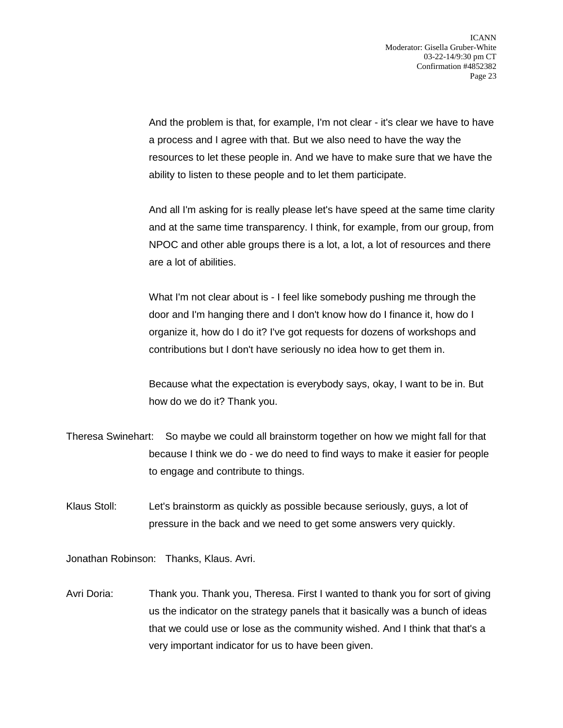And the problem is that, for example, I'm not clear - it's clear we have to have a process and I agree with that. But we also need to have the way the resources to let these people in. And we have to make sure that we have the ability to listen to these people and to let them participate.

And all I'm asking for is really please let's have speed at the same time clarity and at the same time transparency. I think, for example, from our group, from NPOC and other able groups there is a lot, a lot, a lot of resources and there are a lot of abilities.

What I'm not clear about is - I feel like somebody pushing me through the door and I'm hanging there and I don't know how do I finance it, how do I organize it, how do I do it? I've got requests for dozens of workshops and contributions but I don't have seriously no idea how to get them in.

Because what the expectation is everybody says, okay, I want to be in. But how do we do it? Thank you.

- Theresa Swinehart: So maybe we could all brainstorm together on how we might fall for that because I think we do - we do need to find ways to make it easier for people to engage and contribute to things.
- Klaus Stoll: Let's brainstorm as quickly as possible because seriously, guys, a lot of pressure in the back and we need to get some answers very quickly.

Jonathan Robinson: Thanks, Klaus. Avri.

Avri Doria: Thank you. Thank you, Theresa. First I wanted to thank you for sort of giving us the indicator on the strategy panels that it basically was a bunch of ideas that we could use or lose as the community wished. And I think that that's a very important indicator for us to have been given.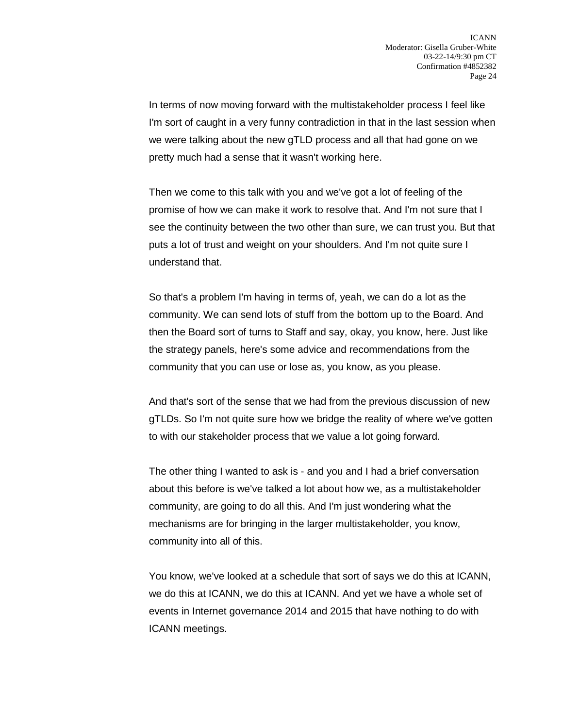In terms of now moving forward with the multistakeholder process I feel like I'm sort of caught in a very funny contradiction in that in the last session when we were talking about the new gTLD process and all that had gone on we pretty much had a sense that it wasn't working here.

Then we come to this talk with you and we've got a lot of feeling of the promise of how we can make it work to resolve that. And I'm not sure that I see the continuity between the two other than sure, we can trust you. But that puts a lot of trust and weight on your shoulders. And I'm not quite sure I understand that.

So that's a problem I'm having in terms of, yeah, we can do a lot as the community. We can send lots of stuff from the bottom up to the Board. And then the Board sort of turns to Staff and say, okay, you know, here. Just like the strategy panels, here's some advice and recommendations from the community that you can use or lose as, you know, as you please.

And that's sort of the sense that we had from the previous discussion of new gTLDs. So I'm not quite sure how we bridge the reality of where we've gotten to with our stakeholder process that we value a lot going forward.

The other thing I wanted to ask is - and you and I had a brief conversation about this before is we've talked a lot about how we, as a multistakeholder community, are going to do all this. And I'm just wondering what the mechanisms are for bringing in the larger multistakeholder, you know, community into all of this.

You know, we've looked at a schedule that sort of says we do this at ICANN, we do this at ICANN, we do this at ICANN. And yet we have a whole set of events in Internet governance 2014 and 2015 that have nothing to do with ICANN meetings.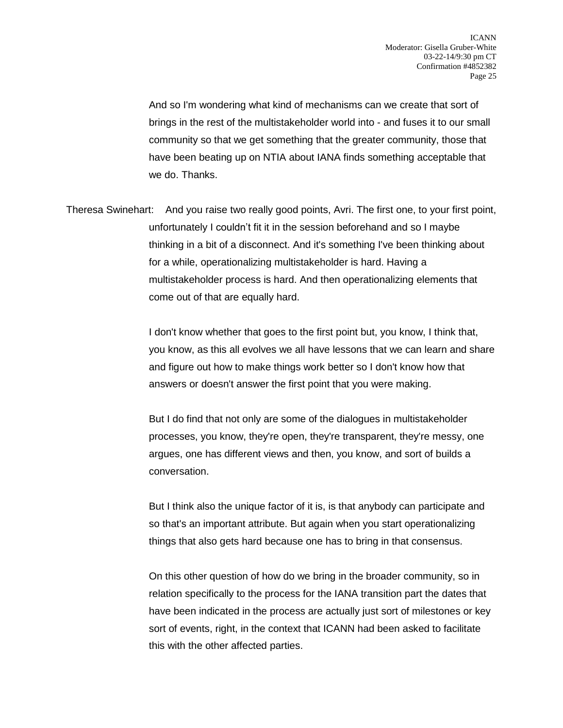And so I'm wondering what kind of mechanisms can we create that sort of brings in the rest of the multistakeholder world into - and fuses it to our small community so that we get something that the greater community, those that have been beating up on NTIA about IANA finds something acceptable that we do. Thanks.

Theresa Swinehart: And you raise two really good points, Avri. The first one, to your first point, unfortunately I couldn't fit it in the session beforehand and so I maybe thinking in a bit of a disconnect. And it's something I've been thinking about for a while, operationalizing multistakeholder is hard. Having a multistakeholder process is hard. And then operationalizing elements that come out of that are equally hard.

> I don't know whether that goes to the first point but, you know, I think that, you know, as this all evolves we all have lessons that we can learn and share and figure out how to make things work better so I don't know how that answers or doesn't answer the first point that you were making.

But I do find that not only are some of the dialogues in multistakeholder processes, you know, they're open, they're transparent, they're messy, one argues, one has different views and then, you know, and sort of builds a conversation.

But I think also the unique factor of it is, is that anybody can participate and so that's an important attribute. But again when you start operationalizing things that also gets hard because one has to bring in that consensus.

On this other question of how do we bring in the broader community, so in relation specifically to the process for the IANA transition part the dates that have been indicated in the process are actually just sort of milestones or key sort of events, right, in the context that ICANN had been asked to facilitate this with the other affected parties.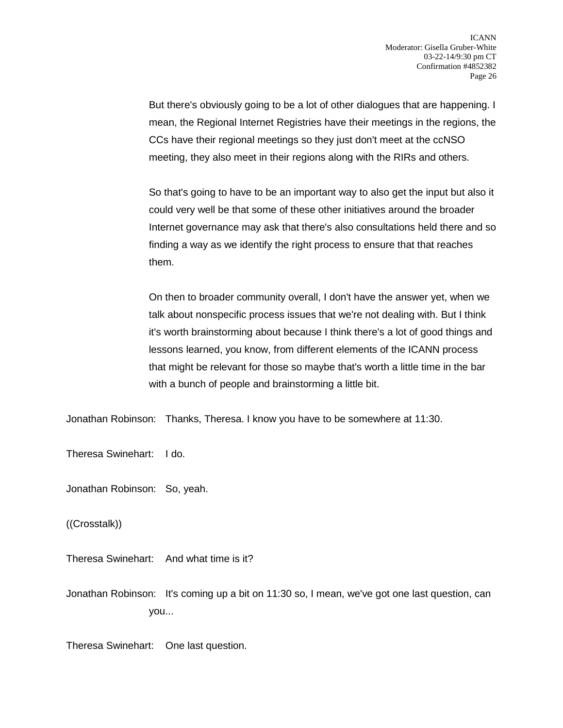But there's obviously going to be a lot of other dialogues that are happening. I mean, the Regional Internet Registries have their meetings in the regions, the CCs have their regional meetings so they just don't meet at the ccNSO meeting, they also meet in their regions along with the RIRs and others.

So that's going to have to be an important way to also get the input but also it could very well be that some of these other initiatives around the broader Internet governance may ask that there's also consultations held there and so finding a way as we identify the right process to ensure that that reaches them.

On then to broader community overall, I don't have the answer yet, when we talk about nonspecific process issues that we're not dealing with. But I think it's worth brainstorming about because I think there's a lot of good things and lessons learned, you know, from different elements of the ICANN process that might be relevant for those so maybe that's worth a little time in the bar with a bunch of people and brainstorming a little bit.

Jonathan Robinson: Thanks, Theresa. I know you have to be somewhere at 11:30.

Theresa Swinehart: I do.

Jonathan Robinson: So, yeah.

((Crosstalk))

Theresa Swinehart: And what time is it?

Jonathan Robinson: It's coming up a bit on 11:30 so, I mean, we've got one last question, can you...

Theresa Swinehart: One last question.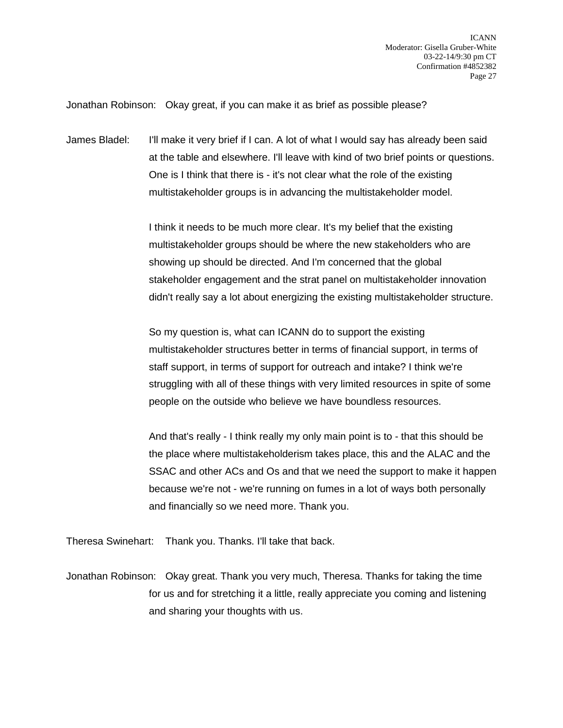Jonathan Robinson: Okay great, if you can make it as brief as possible please?

James Bladel: I'll make it very brief if I can. A lot of what I would say has already been said at the table and elsewhere. I'll leave with kind of two brief points or questions. One is I think that there is - it's not clear what the role of the existing multistakeholder groups is in advancing the multistakeholder model.

> I think it needs to be much more clear. It's my belief that the existing multistakeholder groups should be where the new stakeholders who are showing up should be directed. And I'm concerned that the global stakeholder engagement and the strat panel on multistakeholder innovation didn't really say a lot about energizing the existing multistakeholder structure.

> So my question is, what can ICANN do to support the existing multistakeholder structures better in terms of financial support, in terms of staff support, in terms of support for outreach and intake? I think we're struggling with all of these things with very limited resources in spite of some people on the outside who believe we have boundless resources.

And that's really - I think really my only main point is to - that this should be the place where multistakeholderism takes place, this and the ALAC and the SSAC and other ACs and Os and that we need the support to make it happen because we're not - we're running on fumes in a lot of ways both personally and financially so we need more. Thank you.

Theresa Swinehart: Thank you. Thanks. I'll take that back.

Jonathan Robinson: Okay great. Thank you very much, Theresa. Thanks for taking the time for us and for stretching it a little, really appreciate you coming and listening and sharing your thoughts with us.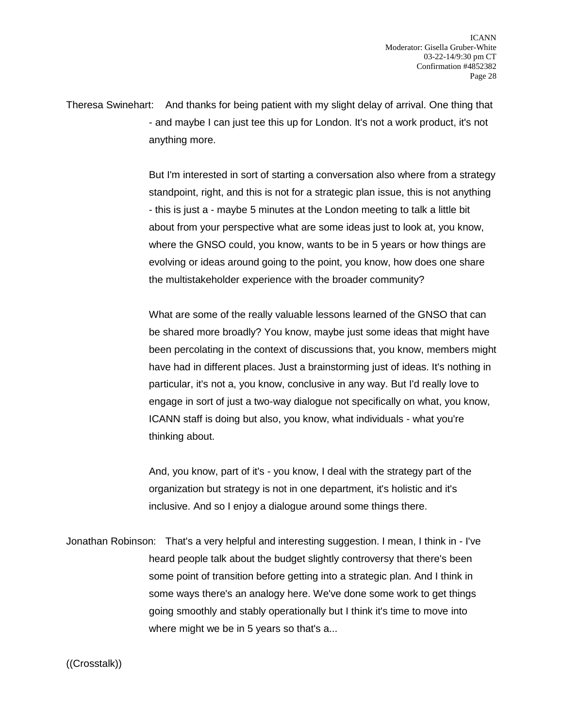Theresa Swinehart: And thanks for being patient with my slight delay of arrival. One thing that - and maybe I can just tee this up for London. It's not a work product, it's not anything more.

> But I'm interested in sort of starting a conversation also where from a strategy standpoint, right, and this is not for a strategic plan issue, this is not anything - this is just a - maybe 5 minutes at the London meeting to talk a little bit about from your perspective what are some ideas just to look at, you know, where the GNSO could, you know, wants to be in 5 years or how things are evolving or ideas around going to the point, you know, how does one share the multistakeholder experience with the broader community?

> What are some of the really valuable lessons learned of the GNSO that can be shared more broadly? You know, maybe just some ideas that might have been percolating in the context of discussions that, you know, members might have had in different places. Just a brainstorming just of ideas. It's nothing in particular, it's not a, you know, conclusive in any way. But I'd really love to engage in sort of just a two-way dialogue not specifically on what, you know, ICANN staff is doing but also, you know, what individuals - what you're thinking about.

And, you know, part of it's - you know, I deal with the strategy part of the organization but strategy is not in one department, it's holistic and it's inclusive. And so I enjoy a dialogue around some things there.

Jonathan Robinson: That's a very helpful and interesting suggestion. I mean, I think in - I've heard people talk about the budget slightly controversy that there's been some point of transition before getting into a strategic plan. And I think in some ways there's an analogy here. We've done some work to get things going smoothly and stably operationally but I think it's time to move into where might we be in 5 years so that's a...